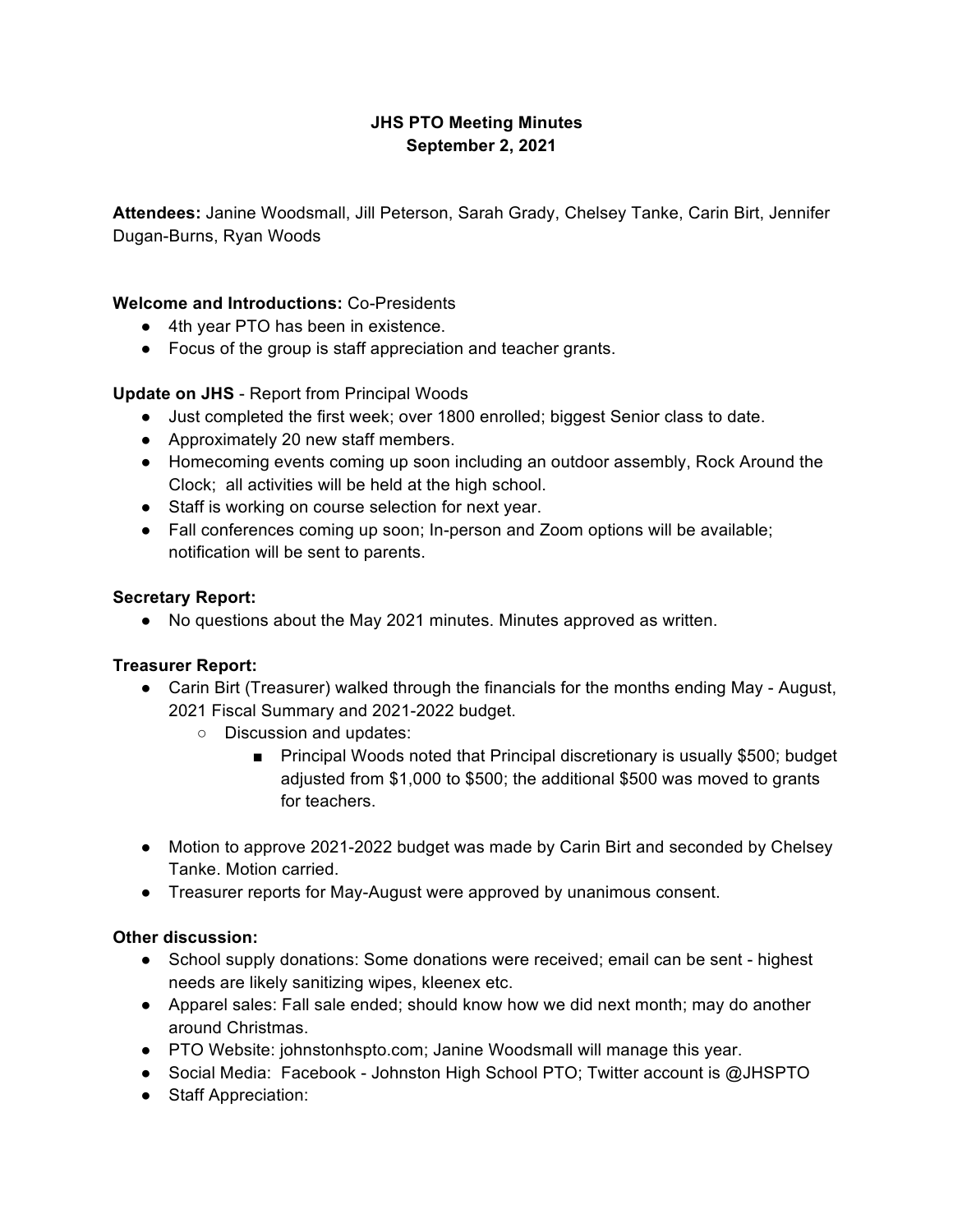## **JHS PTO Meeting Minutes September 2, 2021**

**Attendees:** Janine Woodsmall, Jill Peterson, Sarah Grady, Chelsey Tanke, Carin Birt, Jennifer Dugan-Burns, Ryan Woods

### **Welcome and Introductions:** Co-Presidents

- 4th year PTO has been in existence.
- Focus of the group is staff appreciation and teacher grants.

### **Update on JHS** - Report from Principal Woods

- Just completed the first week; over 1800 enrolled; biggest Senior class to date.
- Approximately 20 new staff members.
- Homecoming events coming up soon including an outdoor assembly, Rock Around the Clock; all activities will be held at the high school.
- Staff is working on course selection for next year.
- Fall conferences coming up soon; In-person and Zoom options will be available; notification will be sent to parents.

#### **Secretary Report:**

● No questions about the May 2021 minutes. Minutes approved as written.

#### **Treasurer Report:**

- Carin Birt (Treasurer) walked through the financials for the months ending May August, 2021 Fiscal Summary and 2021-2022 budget.
	- Discussion and updates:
		- Principal Woods noted that Principal discretionary is usually \$500; budget adjusted from \$1,000 to \$500; the additional \$500 was moved to grants for teachers.
- Motion to approve 2021-2022 budget was made by Carin Birt and seconded by Chelsey Tanke. Motion carried.
- Treasurer reports for May-August were approved by unanimous consent.

#### **Other discussion:**

- School supply donations: Some donations were received; email can be sent highest needs are likely sanitizing wipes, kleenex etc.
- Apparel sales: Fall sale ended; should know how we did next month; may do another around Christmas.
- PTO Website: johnstonhspto.com; Janine Woodsmall will manage this year.
- Social Media: Facebook Johnston High School PTO; Twitter account is @JHSPTO
- Staff Appreciation: